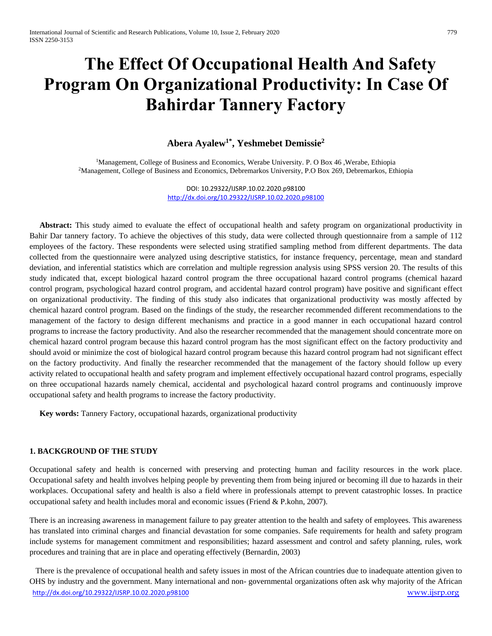# **The Effect Of Occupational Health And Safety Program On Organizational Productivity: In Case Of Bahirdar Tannery Factory**

# **Abera Ayalew1\* , Yeshmebet Demissie<sup>2</sup>**

<sup>1</sup>Management, College of Business and Economics, Werabe University. P. O Box 46 ,Werabe, Ethiopia <sup>2</sup>Management, College of Business and Economics, Debremarkos University, P.O Box 269, Debremarkos, Ethiopia

> DOI: 10.29322/IJSRP.10.02.2020.p98100 <http://dx.doi.org/10.29322/IJSRP.10.02.2020.p98100>

 **Abstract:** This study aimed to evaluate the effect of occupational health and safety program on organizational productivity in Bahir Dar tannery factory. To achieve the objectives of this study, data were collected through questionnaire from a sample of 112 employees of the factory. These respondents were selected using stratified sampling method from different departments. The data collected from the questionnaire were analyzed using descriptive statistics, for instance frequency, percentage, mean and standard deviation, and inferential statistics which are correlation and multiple regression analysis using SPSS version 20. The results of this study indicated that, except biological hazard control program the three occupational hazard control programs (chemical hazard control program, psychological hazard control program, and accidental hazard control program) have positive and significant effect on organizational productivity. The finding of this study also indicates that organizational productivity was mostly affected by chemical hazard control program. Based on the findings of the study, the researcher recommended different recommendations to the management of the factory to design different mechanisms and practice in a good manner in each occupational hazard control programs to increase the factory productivity. And also the researcher recommended that the management should concentrate more on chemical hazard control program because this hazard control program has the most significant effect on the factory productivity and should avoid or minimize the cost of biological hazard control program because this hazard control program had not significant effect on the factory productivity. And finally the researcher recommended that the management of the factory should follow up every activity related to occupational health and safety program and implement effectively occupational hazard control programs, especially on three occupational hazards namely chemical, accidental and psychological hazard control programs and continuously improve occupational safety and health programs to increase the factory productivity.

 **Key words:** Tannery Factory, occupational hazards, organizational productivity

# **1. BACKGROUND OF THE STUDY**

Occupational safety and health is concerned with preserving and protecting human and facility resources in the work place. Occupational safety and health involves helping people by preventing them from being injured or becoming ill due to hazards in their workplaces. Occupational safety and health is also a field where in professionals attempt to prevent catastrophic losses. In practice occupational safety and health includes moral and economic issues (Friend & P.kohn, 2007).

There is an increasing awareness in management failure to pay greater attention to the health and safety of employees. This awareness has translated into criminal charges and financial devastation for some companies. Safe requirements for health and safety program include systems for management commitment and responsibilities; hazard assessment and control and safety planning, rules, work procedures and training that are in place and operating effectively (Bernardin, 2003)

<http://dx.doi.org/10.29322/IJSRP.10.02.2020.p98100> [www.ijsrp.org](http://ijsrp.org/) There is the prevalence of occupational health and safety issues in most of the African countries due to inadequate attention given to OHS by industry and the government. Many international and non- governmental organizations often ask why majority of the African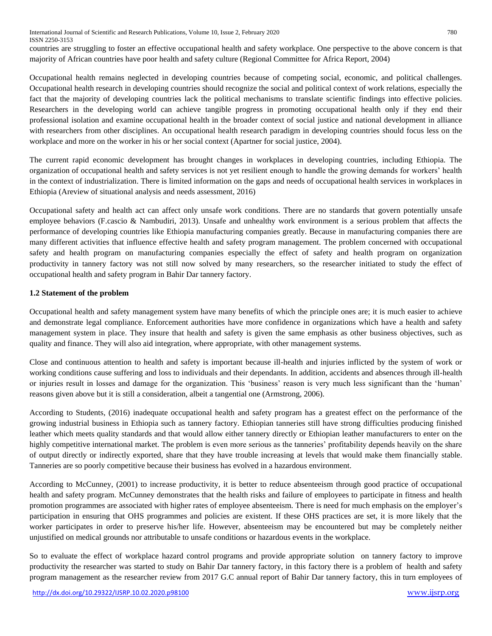International Journal of Scientific and Research Publications, Volume 10, Issue 2, February 2020 780 ISSN 2250-3153

countries are struggling to foster an effective occupational health and safety workplace. One perspective to the above concern is that majority of African countries have poor health and safety culture (Regional Committee for Africa Report, 2004)

Occupational health remains neglected in developing countries because of competing social, economic, and political challenges. Occupational health research in developing countries should recognize the social and political context of work relations, especially the fact that the majority of developing countries lack the political mechanisms to translate scientific findings into effective policies. Researchers in the developing world can achieve tangible progress in promoting occupational health only if they end their professional isolation and examine occupational health in the broader context of social justice and national development in alliance with researchers from other disciplines. An occupational health research paradigm in developing countries should focus less on the workplace and more on the worker in his or her social context (Apartner for social justice, 2004).

The current rapid economic development has brought changes in workplaces in developing countries, including Ethiopia. The organization of occupational health and safety services is not yet resilient enough to handle the growing demands for workers' health in the context of industrialization. There is limited information on the gaps and needs of occupational health services in workplaces in Ethiopia (Areview of situational analysis and needs assessment, 2016)

Occupational safety and health act can affect only unsafe work conditions. There are no standards that govern potentially unsafe employee behaviors (F.cascio & Nambudiri, 2013). Unsafe and unhealthy work environment is a serious problem that affects the performance of developing countries like Ethiopia manufacturing companies greatly. Because in manufacturing companies there are many different activities that influence effective health and safety program management. The problem concerned with occupational safety and health program on manufacturing companies especially the effect of safety and health program on organization productivity in tannery factory was not still now solved by many researchers, so the researcher initiated to study the effect of occupational health and safety program in Bahir Dar tannery factory.

# **1.2 Statement of the problem**

Occupational health and safety management system have many benefits of which the principle ones are; it is much easier to achieve and demonstrate legal compliance. Enforcement authorities have more confidence in organizations which have a health and safety management system in place. They insure that health and safety is given the same emphasis as other business objectives, such as quality and finance. They will also aid integration, where appropriate, with other management systems.

Close and continuous attention to health and safety is important because ill-health and injuries inflicted by the system of work or working conditions cause suffering and loss to individuals and their dependants. In addition, accidents and absences through ill-health or injuries result in losses and damage for the organization. This 'business' reason is very much less significant than the 'human' reasons given above but it is still a consideration, albeit a tangential one (Armstrong, 2006).

According to Students, (2016) inadequate occupational health and safety program has a greatest effect on the performance of the growing industrial business in Ethiopia such as tannery factory. Ethiopian tanneries still have strong difficulties producing finished leather which meets quality standards and that would allow either tannery directly or Ethiopian leather manufacturers to enter on the highly competitive international market. The problem is even more serious as the tanneries' profitability depends heavily on the share of output directly or indirectly exported, share that they have trouble increasing at levels that would make them financially stable. Tanneries are so poorly competitive because their business has evolved in a hazardous environment.

According to McCunney, (2001) to increase productivity, it is better to reduce absenteeism through good practice of occupational health and safety program. McCunney demonstrates that the health risks and failure of employees to participate in fitness and health promotion programmes are associated with higher rates of employee absenteeism. There is need for much emphasis on the employer's participation in ensuring that OHS programmes and policies are existent. If these OHS practices are set, it is more likely that the worker participates in order to preserve his/her life. However, absenteeism may be encountered but may be completely neither unjustified on medical grounds nor attributable to unsafe conditions or hazardous events in the workplace.

So to evaluate the effect of workplace hazard control programs and provide appropriate solution on tannery factory to improve productivity the researcher was started to study on Bahir Dar tannery factory, in this factory there is a problem of health and safety program management as the researcher review from 2017 G.C annual report of Bahir Dar tannery factory, this in turn employees of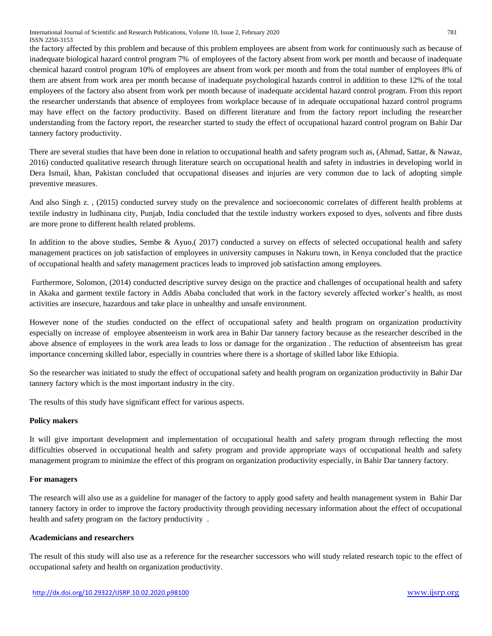International Journal of Scientific and Research Publications, Volume 10, Issue 2, February 2020 781 ISSN 2250-3153

the factory affected by this problem and because of this problem employees are absent from work for continuously such as because of inadequate biological hazard control program 7% of employees of the factory absent from work per month and because of inadequate chemical hazard control program 10% of employees are absent from work per month and from the total number of employees 8% of them are absent from work area per month because of inadequate psychological hazards control in addition to these 12% of the total employees of the factory also absent from work per month because of inadequate accidental hazard control program. From this report the researcher understands that absence of employees from workplace because of in adequate occupational hazard control programs may have effect on the factory productivity. Based on different literature and from the factory report including the researcher understanding from the factory report, the researcher started to study the effect of occupational hazard control program on Bahir Dar tannery factory productivity.

There are several studies that have been done in relation to occupational health and safety program such as, (Ahmad, Sattar, & Nawaz, 2016) conducted qualitative research through literature search on occupational health and safety in industries in developing world in Dera Ismail, khan, Pakistan concluded that occupational diseases and injuries are very common due to lack of adopting simple preventive measures.

And also Singh z. , (2015) conducted survey study on the prevalence and socioeconomic correlates of different health problems at textile industry in ludhinana city, Punjab, India concluded that the textile industry workers exposed to dyes, solvents and fibre dusts are more prone to different health related problems.

In addition to the above studies, Sembe & Ayuo,( 2017) conducted a survey on effects of selected occupational health and safety management practices on job satisfaction of employees in university campuses in Nakuru town, in Kenya concluded that the practice of occupational health and safety management practices leads to improved job satisfaction among employees.

Furthermore, Solomon, (2014) conducted descriptive survey design on the practice and challenges of occupational health and safety in Akaka and garment textile factory in Addis Ababa concluded that work in the factory severely affected worker's health, as most activities are insecure, hazardous and take place in unhealthy and unsafe environment.

However none of the studies conducted on the effect of occupational safety and health program on organization productivity especially on increase of employee absenteeism in work area in Bahir Dar tannery factory because as the researcher described in the above absence of employees in the work area leads to loss or damage for the organization . The reduction of absenteeism has great importance concerning skilled labor, especially in countries where there is a shortage of skilled labor like Ethiopia.

So the researcher was initiated to study the effect of occupational safety and health program on organization productivity in Bahir Dar tannery factory which is the most important industry in the city.

The results of this study have significant effect for various aspects.

#### **Policy makers**

It will give important development and implementation of occupational health and safety program through reflecting the most difficulties observed in occupational health and safety program and provide appropriate ways of occupational health and safety management program to minimize the effect of this program on organization productivity especially, in Bahir Dar tannery factory.

#### **For managers**

The research will also use as a guideline for manager of the factory to apply good safety and health management system in Bahir Dar tannery factory in order to improve the factory productivity through providing necessary information about the effect of occupational health and safety program on the factory productivity .

## **Academicians and researchers**

The result of this study will also use as a reference for the researcher successors who will study related research topic to the effect of occupational safety and health on organization productivity.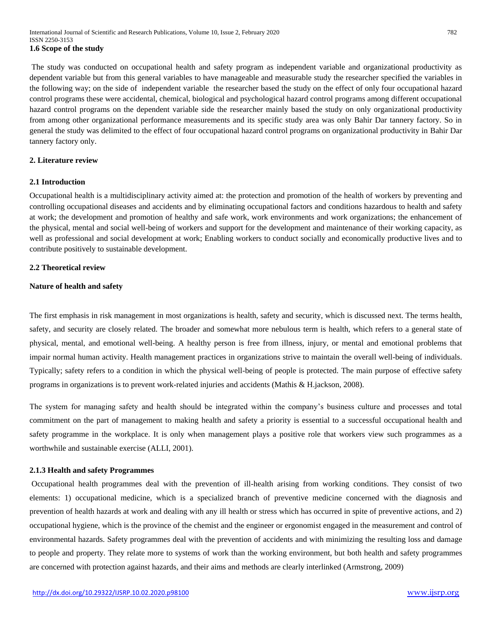The study was conducted on occupational health and safety program as independent variable and organizational productivity as dependent variable but from this general variables to have manageable and measurable study the researcher specified the variables in the following way; on the side of independent variable the researcher based the study on the effect of only four occupational hazard control programs these were accidental, chemical, biological and psychological hazard control programs among different occupational hazard control programs on the dependent variable side the researcher mainly based the study on only organizational productivity from among other organizational performance measurements and its specific study area was only Bahir Dar tannery factory. So in general the study was delimited to the effect of four occupational hazard control programs on organizational productivity in Bahir Dar tannery factory only.

# **2. Literature review**

#### **2.1 Introduction**

Occupational health is a multidisciplinary activity aimed at: the protection and promotion of the health of workers by preventing and controlling occupational diseases and accidents and by eliminating occupational factors and conditions hazardous to health and safety at work; the development and promotion of healthy and safe work, work environments and work organizations; the enhancement of the physical, mental and social well-being of workers and support for the development and maintenance of their working capacity, as well as professional and social development at work; Enabling workers to conduct socially and economically productive lives and to contribute positively to sustainable development.

#### **2.2 Theoretical review**

# **Nature of health and safety**

The first emphasis in risk management in most organizations is health, safety and security, which is discussed next. The terms health, safety, and security are closely related. The broader and somewhat more nebulous term is health, which refers to a general state of physical, mental, and emotional well-being. A healthy person is free from illness, injury, or mental and emotional problems that impair normal human activity. Health management practices in organizations strive to maintain the overall well-being of individuals. Typically; safety refers to a condition in which the physical well-being of people is protected. The main purpose of effective safety programs in organizations is to prevent work-related injuries and accidents (Mathis & H.jackson, 2008).

The system for managing safety and health should be integrated within the company's business culture and processes and total commitment on the part of management to making health and safety a priority is essential to a successful occupational health and safety programme in the workplace. It is only when management plays a positive role that workers view such programmes as a worthwhile and sustainable exercise (ALLI, 2001).

#### **2.1.3 Health and safety Programmes**

Occupational health programmes deal with the prevention of ill-health arising from working conditions. They consist of two elements: 1) occupational medicine, which is a specialized branch of preventive medicine concerned with the diagnosis and prevention of health hazards at work and dealing with any ill health or stress which has occurred in spite of preventive actions, and 2) occupational hygiene, which is the province of the chemist and the engineer or ergonomist engaged in the measurement and control of environmental hazards. Safety programmes deal with the prevention of accidents and with minimizing the resulting loss and damage to people and property. They relate more to systems of work than the working environment, but both health and safety programmes are concerned with protection against hazards, and their aims and methods are clearly interlinked (Armstrong, 2009)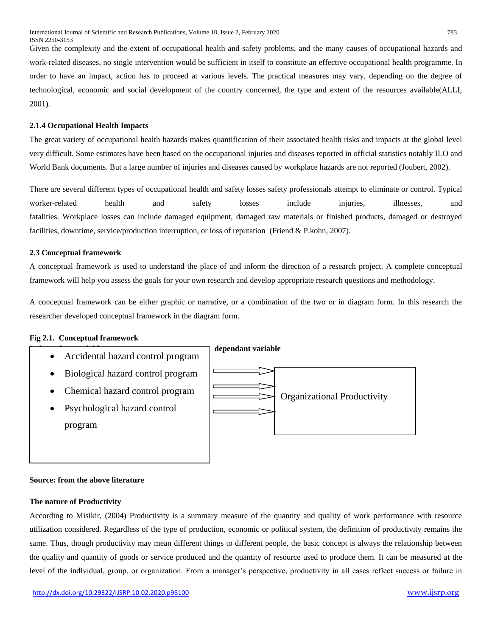Given the complexity and the extent of occupational health and safety problems, and the many causes of occupational hazards and work-related diseases, no single intervention would be sufficient in itself to constitute an effective occupational health programme. In order to have an impact, action has to proceed at various levels. The practical measures may vary, depending on the degree of technological, economic and social development of the country concerned, the type and extent of the resources available(ALLI, 2001).

# **2.1.4 Occupational Health Impacts**

The great variety of occupational health hazards makes quantification of their associated health risks and impacts at the global level very difficult. Some estimates have been based on the occupational injuries and diseases reported in official statistics notably ILO and World Bank documents. But a large number of injuries and diseases caused by workplace hazards are not reported (Joubert, 2002).

There are several different types of occupational health and safety losses safety professionals attempt to eliminate or control. Typical worker-related health and safety losses include injuries, illnesses, and fatalities. Workplace losses can include damaged equipment, damaged raw materials or finished products, damaged or destroyed facilities, downtime, service/production interruption, or loss of reputation (Friend & P.kohn, 2007).

# **2.3 Conceptual framework**

A conceptual framework is used to understand the place of and inform the direction of a research project. A complete conceptual framework will help you assess the goals for your own research and develop appropriate research questions and methodology.

A conceptual framework can be either graphic or narrative, or a combination of the two or in diagram form. In this research the researcher developed conceptual framework in the diagram form.

# **Fig 2.1. Conceptual framework**



#### **Source: from the above literature**

#### **The nature of Productivity**

According to Misikir, (2004) Productivity is a summary measure of the quantity and quality of work performance with resource utilization considered. Regardless of the type of production, economic or political system, the definition of productivity remains the same. Thus, though productivity may mean different things to different people, the basic concept is always the relationship between the quality and quantity of goods or service produced and the quantity of resource used to produce them. It can be measured at the level of the individual, group, or organization. From a manager's perspective, productivity in all cases reflect success or failure in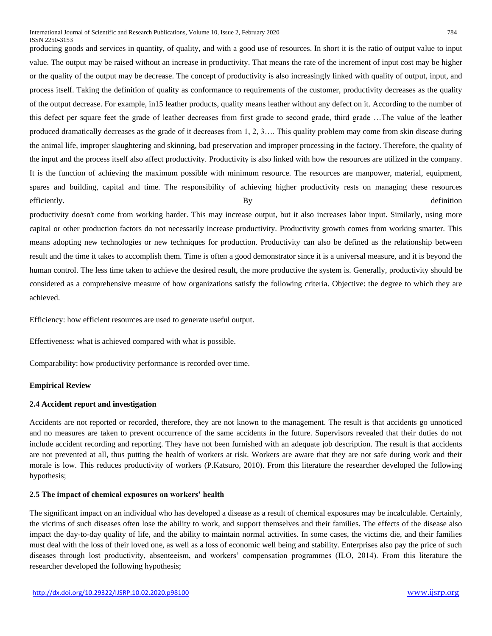producing goods and services in quantity, of quality, and with a good use of resources. In short it is the ratio of output value to input value. The output may be raised without an increase in productivity. That means the rate of the increment of input cost may be higher or the quality of the output may be decrease. The concept of productivity is also increasingly linked with quality of output, input, and process itself. Taking the definition of quality as conformance to requirements of the customer, productivity decreases as the quality of the output decrease. For example, in15 leather products, quality means leather without any defect on it. According to the number of this defect per square feet the grade of leather decreases from first grade to second grade, third grade …The value of the leather produced dramatically decreases as the grade of it decreases from 1, 2, 3…. This quality problem may come from skin disease during the animal life, improper slaughtering and skinning, bad preservation and improper processing in the factory. Therefore, the quality of the input and the process itself also affect productivity. Productivity is also linked with how the resources are utilized in the company. It is the function of achieving the maximum possible with minimum resource. The resources are manpower, material, equipment, spares and building, capital and time. The responsibility of achieving higher productivity rests on managing these resources efficiently. And the set of the set of the set of the set of the set of the set of the set of the set of the set of the set of the set of the set of the set of the set of the set of the set of the set of the set of the set

productivity doesn't come from working harder. This may increase output, but it also increases labor input. Similarly, using more capital or other production factors do not necessarily increase productivity. Productivity growth comes from working smarter. This means adopting new technologies or new techniques for production. Productivity can also be defined as the relationship between result and the time it takes to accomplish them. Time is often a good demonstrator since it is a universal measure, and it is beyond the human control. The less time taken to achieve the desired result, the more productive the system is. Generally, productivity should be considered as a comprehensive measure of how organizations satisfy the following criteria. Objective: the degree to which they are achieved.

Efficiency: how efficient resources are used to generate useful output.

Effectiveness: what is achieved compared with what is possible.

Comparability: how productivity performance is recorded over time.

#### **Empirical Review**

# **2.4 Accident report and investigation**

Accidents are not reported or recorded, therefore, they are not known to the management. The result is that accidents go unnoticed and no measures are taken to prevent occurrence of the same accidents in the future. Supervisors revealed that their duties do not include accident recording and reporting. They have not been furnished with an adequate job description. The result is that accidents are not prevented at all, thus putting the health of workers at risk. Workers are aware that they are not safe during work and their morale is low. This reduces productivity of workers (P.Katsuro, 2010). From this literature the researcher developed the following hypothesis;

#### **2.5 The impact of chemical exposures on workers' health**

The significant impact on an individual who has developed a disease as a result of chemical exposures may be incalculable. Certainly, the victims of such diseases often lose the ability to work, and support themselves and their families. The effects of the disease also impact the day-to-day quality of life, and the ability to maintain normal activities. In some cases, the victims die, and their families must deal with the loss of their loved one, as well as a loss of economic well being and stability. Enterprises also pay the price of such diseases through lost productivity, absenteeism, and workers' compensation programmes (ILO, 2014). From this literature the researcher developed the following hypothesis;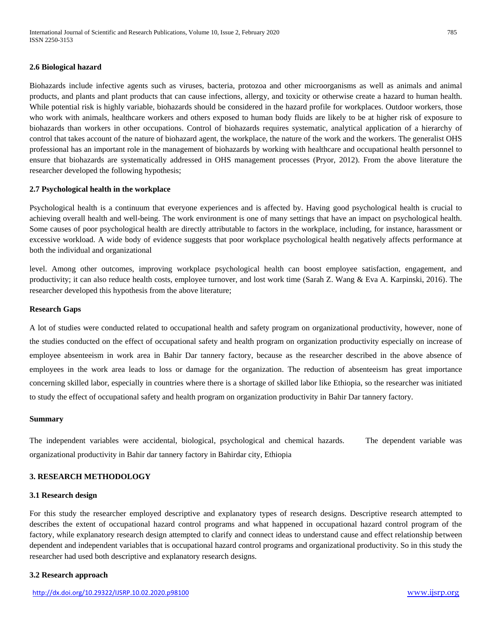#### **2.6 Biological hazard**

Biohazards include infective agents such as viruses, bacteria, protozoa and other microorganisms as well as animals and animal products, and plants and plant products that can cause infections, allergy, and toxicity or otherwise create a hazard to human health. While potential risk is highly variable, biohazards should be considered in the hazard profile for workplaces. Outdoor workers, those who work with animals, healthcare workers and others exposed to human body fluids are likely to be at higher risk of exposure to biohazards than workers in other occupations. Control of biohazards requires systematic, analytical application of a hierarchy of control that takes account of the nature of biohazard agent, the workplace, the nature of the work and the workers. The generalist OHS professional has an important role in the management of biohazards by working with healthcare and occupational health personnel to ensure that biohazards are systematically addressed in OHS management processes (Pryor, 2012). From the above literature the researcher developed the following hypothesis;

#### **2.7 Psychological health in the workplace**

Psychological health is a continuum that everyone experiences and is affected by. Having good psychological health is crucial to achieving overall health and well-being. The work environment is one of many settings that have an impact on psychological health. Some causes of poor psychological health are directly attributable to factors in the workplace, including, for instance, harassment or excessive workload. A wide body of evidence suggests that poor workplace psychological health negatively affects performance at both the individual and organizational

level. Among other outcomes, improving workplace psychological health can boost employee satisfaction, engagement, and productivity; it can also reduce health costs, employee turnover, and lost work time (Sarah Z. Wang & Eva A. Karpinski, 2016). The researcher developed this hypothesis from the above literature;

# **Research Gaps**

A lot of studies were conducted related to occupational health and safety program on organizational productivity, however, none of the studies conducted on the effect of occupational safety and health program on organization productivity especially on increase of employee absenteeism in work area in Bahir Dar tannery factory, because as the researcher described in the above absence of employees in the work area leads to loss or damage for the organization. The reduction of absenteeism has great importance concerning skilled labor, especially in countries where there is a shortage of skilled labor like Ethiopia, so the researcher was initiated to study the effect of occupational safety and health program on organization productivity in Bahir Dar tannery factory.

#### **Summary**

The independent variables were accidental, biological, psychological and chemical hazards. The dependent variable was organizational productivity in Bahir dar tannery factory in Bahirdar city, Ethiopia

#### **3. RESEARCH METHODOLOGY**

#### **3.1 Research design**

For this study the researcher employed descriptive and explanatory types of research designs. Descriptive research attempted to describes the extent of occupational hazard control programs and what happened in occupational hazard control program of the factory, while explanatory research design attempted to clarify and connect ideas to understand cause and effect relationship between dependent and independent variables that is occupational hazard control programs and organizational productivity. So in this study the researcher had used both descriptive and explanatory research designs.

#### **3.2 Research approach**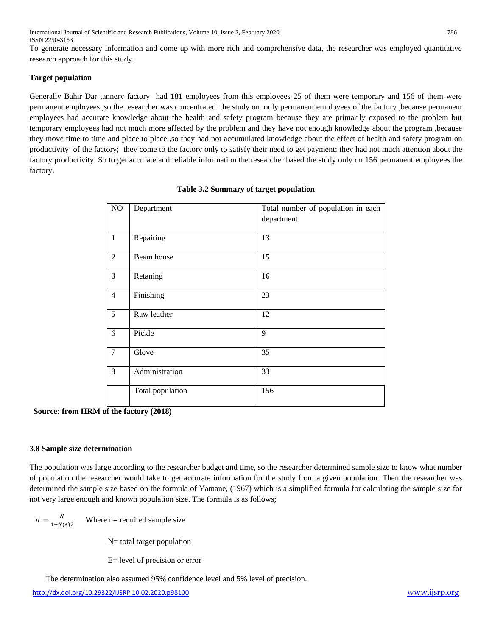To generate necessary information and come up with more rich and comprehensive data, the researcher was employed quantitative research approach for this study.

# **Target population**

Generally Bahir Dar tannery factory had 181 employees from this employees 25 of them were temporary and 156 of them were permanent employees ,so the researcher was concentrated the study on only permanent employees of the factory ,because permanent employees had accurate knowledge about the health and safety program because they are primarily exposed to the problem but temporary employees had not much more affected by the problem and they have not enough knowledge about the program ,because they move time to time and place to place ,so they had not accumulated knowledge about the effect of health and safety program on productivity of the factory; they come to the factory only to satisfy their need to get payment; they had not much attention about the factory productivity. So to get accurate and reliable information the researcher based the study only on 156 permanent employees the factory.

| $\overline{NO}$ | Department       | Total number of population in each<br>department |
|-----------------|------------------|--------------------------------------------------|
| $\mathbf{1}$    | Repairing        | 13                                               |
| $\overline{2}$  | Beam house       | 15                                               |
| 3               | Retaning         | 16                                               |
| $\overline{4}$  | Finishing        | 23                                               |
| 5               | Raw leather      | 12                                               |
| 6               | Pickle           | 9                                                |
| $\overline{7}$  | Glove            | 35                                               |
| 8               | Administration   | 33                                               |
|                 | Total population | 156                                              |

|  | Table 3.2 Summary of target population |
|--|----------------------------------------|
|  |                                        |

**Source: from HRM of the factory (2018)**

# **3.8 Sample size determination**

The population was large according to the researcher budget and time, so the researcher determined sample size to know what number of population the researcher would take to get accurate information for the study from a given population. Then the researcher was determined the sample size based on the formula of Yamane, (1967) which is a simplified formula for calculating the sample size for not very large enough and known population size. The formula is as follows;

 $n=\frac{N}{1+N}$  $1+N(e)2$ Where n= required sample size

N= total target population

E= level of precision or error

The determination also assumed 95% confidence level and 5% level of precision.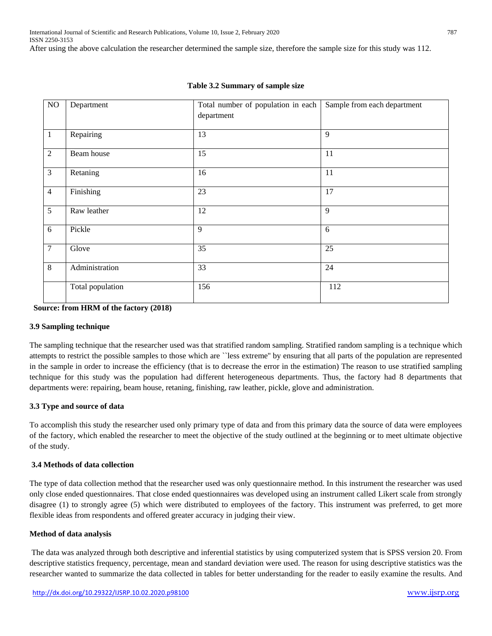| NO             | Department       | Total number of population in each<br>department | Sample from each department |
|----------------|------------------|--------------------------------------------------|-----------------------------|
| $\mathbf{1}$   | Repairing        | 13                                               | 9                           |
| $\overline{2}$ | Beam house       | 15                                               | 11                          |
| $\overline{3}$ | Retaning         | 16                                               | 11                          |
| $\overline{4}$ | Finishing        | 23                                               | 17                          |
| 5              | Raw leather      | 12                                               | 9                           |
| 6              | Pickle           | 9                                                | 6                           |
| $\tau$         | Glove            | 35                                               | 25                          |
| 8              | Administration   | 33                                               | 24                          |
|                | Total population | 156                                              | 112                         |

### **Table 3.2 Summary of sample size**

**Source: from HRM of the factory (2018)**

#### **3.9 Sampling technique**

The sampling technique that the researcher used was that stratified random sampling. Stratified random sampling is a technique which attempts to restrict the possible samples to those which are ``less extreme'' by ensuring that all parts of the population are represented in the sample in order to increase the efficiency (that is to decrease the error in the estimation) The reason to use stratified sampling technique for this study was the population had different heterogeneous departments. Thus, the factory had 8 departments that departments were: repairing, beam house, retaning, finishing, raw leather, pickle, glove and administration.

# **3.3 Type and source of data**

To accomplish this study the researcher used only primary type of data and from this primary data the source of data were employees of the factory, which enabled the researcher to meet the objective of the study outlined at the beginning or to meet ultimate objective of the study.

# **3.4 Methods of data collection**

The type of data collection method that the researcher used was only questionnaire method. In this instrument the researcher was used only close ended questionnaires. That close ended questionnaires was developed using an instrument called Likert scale from strongly disagree (1) to strongly agree (5) which were distributed to employees of the factory. This instrument was preferred, to get more flexible ideas from respondents and offered greater accuracy in judging their view.

#### **Method of data analysis**

The data was analyzed through both descriptive and inferential statistics by using computerized system that is SPSS version 20. From descriptive statistics frequency, percentage, mean and standard deviation were used. The reason for using descriptive statistics was the researcher wanted to summarize the data collected in tables for better understanding for the reader to easily examine the results. And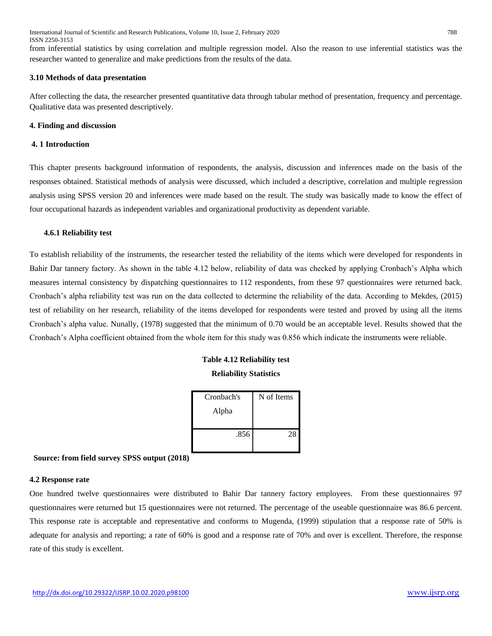International Journal of Scientific and Research Publications, Volume 10, Issue 2, February 2020 788 ISSN 2250-3153

from inferential statistics by using correlation and multiple regression model. Also the reason to use inferential statistics was the researcher wanted to generalize and make predictions from the results of the data.

#### **3.10 Methods of data presentation**

After collecting the data, the researcher presented quantitative data through tabular method of presentation, frequency and percentage. Qualitative data was presented descriptively.

#### **4. Finding and discussion**

#### **4. 1 Introduction**

This chapter presents background information of respondents, the analysis, discussion and inferences made on the basis of the responses obtained. Statistical methods of analysis were discussed, which included a descriptive, correlation and multiple regression analysis using SPSS version 20 and inferences were made based on the result. The study was basically made to know the effect of four occupational hazards as independent variables and organizational productivity as dependent variable.

#### **4.6.1 Reliability test**

To establish reliability of the instruments, the researcher tested the reliability of the items which were developed for respondents in Bahir Dar tannery factory. As shown in the table 4.12 below, reliability of data was checked by applying Cronbach's Alpha which measures internal consistency by dispatching questionnaires to 112 respondents, from these 97 questionnaires were returned back. Cronbach's alpha reliability test was run on the data collected to determine the reliability of the data. According to Mekdes, (2015) test of reliability on her research, reliability of the items developed for respondents were tested and proved by using all the items Cronbach's alpha value. Nunally, (1978) suggested that the minimum of 0.70 would be an acceptable level. Results showed that the Cronbach's Alpha coefficient obtained from the whole item for this study was 0.856 which indicate the instruments were reliable.

# **Table 4.12 Reliability test Reliability Statistics**

| Cronbach's | N of Items |
|------------|------------|
| Alpha      |            |
|            |            |
| .856       | 28         |
|            |            |

 **Source: from field survey SPSS output (2018)**

#### **4.2 Response rate**

One hundred twelve questionnaires were distributed to Bahir Dar tannery factory employees. From these questionnaires 97 questionnaires were returned but 15 questionnaires were not returned. The percentage of the useable questionnaire was 86.6 percent. This response rate is acceptable and representative and conforms to Mugenda, (1999) stipulation that a response rate of 50% is adequate for analysis and reporting; a rate of 60% is good and a response rate of 70% and over is excellent. Therefore, the response rate of this study is excellent.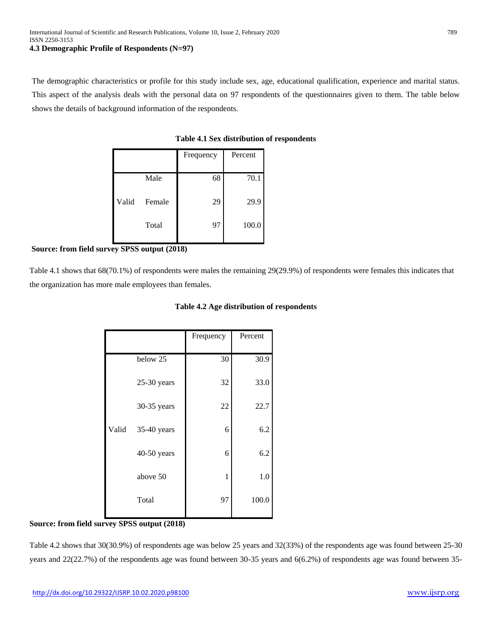The demographic characteristics or profile for this study include sex, age, educational qualification, experience and marital status. This aspect of the analysis deals with the personal data on 97 respondents of the questionnaires given to them. The table below shows the details of background information of the respondents.

|       |        | Frequency | Percent |
|-------|--------|-----------|---------|
|       | Male   | 68        | 70.1    |
| Valid | Female | 29        | 29.9    |
|       | Total  | 97        | 100.0   |

**Table 4.1 Sex distribution of respondents**

**Source: from field survey SPSS output (2018)**

Table 4.1 shows that 68(70.1%) of respondents were males the remaining 29(29.9%) of respondents were females this indicates that the organization has more male employees than females.

| Table 4.2 Age distribution of respondents |
|-------------------------------------------|
|-------------------------------------------|

|       |               | Frequency | Percent |
|-------|---------------|-----------|---------|
|       |               |           |         |
|       | below 25      | 30        | 30.9    |
|       | $25-30$ years | 32        | 33.0    |
|       | 30-35 years   | 22        | 22.7    |
| Valid | $35-40$ years | 6         | 6.2     |
|       | 40-50 years   | 6         | 6.2     |
|       | above 50      | 1         | 1.0     |
|       | Total         | 97        | 100.0   |

# **Source: from field survey SPSS output (2018)**

Table 4.2 shows that 30(30.9%) of respondents age was below 25 years and 32(33%) of the respondents age was found between 25-30 years and 22(22.7%) of the respondents age was found between 30-35 years and 6(6.2%) of respondents age was found between 35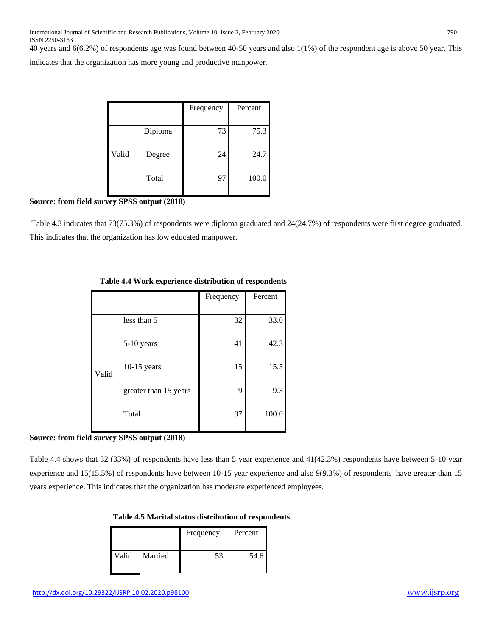40 years and 6(6.2%) of respondents age was found between 40-50 years and also 1(1%) of the respondent age is above 50 year. This

indicates that the organization has more young and productive manpower.

|       |         | Frequency | Percent |
|-------|---------|-----------|---------|
|       | Diploma | 73        | 75.3    |
| Valid | Degree  | 24        | 24.7    |
|       | Total   | 97        | 100.0   |

# **Source: from field survey SPSS output (2018)**

Table 4.3 indicates that 73(75.3%) of respondents were diploma graduated and 24(24.7%) of respondents were first degree graduated. This indicates that the organization has low educated manpower.

|       |                       | Frequency | Percent |
|-------|-----------------------|-----------|---------|
|       |                       |           |         |
|       | less than 5           | 32        | 33.0    |
|       | $5-10$ years          | 41        | 42.3    |
| Valid | $10-15$ years         | 15        | 15.5    |
|       | greater than 15 years | 9         | 9.3     |
|       | Total                 | 97        | 100.0   |
|       |                       |           |         |

# **Table 4.4 Work experience distribution of respondents**

# **Source: from field survey SPSS output (2018)**

Table 4.4 shows that 32 (33%) of respondents have less than 5 year experience and 41(42.3%) respondents have between 5-10 year experience and 15(15.5%) of respondents have between 10-15 year experience and also 9(9.3%) of respondents have greater than 15 years experience. This indicates that the organization has moderate experienced employees.

| Table 4.5 Marital status distribution of respondents |
|------------------------------------------------------|
|------------------------------------------------------|

|               | Frequency | Percent |
|---------------|-----------|---------|
| Valid Married | 53        | 54.6    |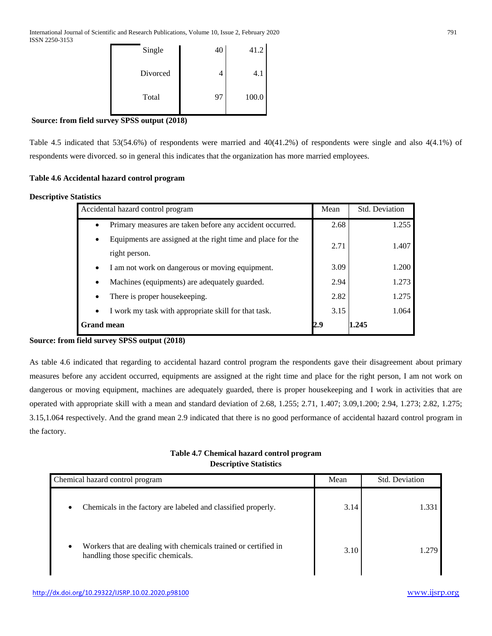| Single   | 40 | 41.2  |
|----------|----|-------|
| Divorced | 4  | 4.1   |
| Total    | 97 | 100.0 |

# **Source: from field survey SPSS output (2018)**

Table 4.5 indicated that 53(54.6%) of respondents were married and 40(41.2%) of respondents were single and also 4(4.1%) of respondents were divorced. so in general this indicates that the organization has more married employees.

# **Table 4.6 Accidental hazard control program**

# **Descriptive Statistics**

| Accidental hazard control program                                        | Mean | Std. Deviation |
|--------------------------------------------------------------------------|------|----------------|
| Primary measures are taken before any accident occurred.<br>$\bullet$    | 2.68 | 1.255          |
| Equipments are assigned at the right time and place for the<br>$\bullet$ | 2.71 | 1.407          |
| right person.                                                            |      |                |
| I am not work on dangerous or moving equipment.<br>$\bullet$             | 3.09 | 1.200          |
| Machines (equipments) are adequately guarded.<br>$\bullet$               | 2.94 | 1.273          |
| There is proper house keeping.<br>$\bullet$                              | 2.82 | 1.275          |
| I work my task with appropriate skill for that task.<br>$\bullet$        | 3.15 | 1.064          |
| <b>Grand mean</b>                                                        | 2.9  | 1.245          |

#### **Source: from field survey SPSS output (2018)**

As table 4.6 indicated that regarding to accidental hazard control program the respondents gave their disagreement about primary measures before any accident occurred, equipments are assigned at the right time and place for the right person, I am not work on dangerous or moving equipment, machines are adequately guarded, there is proper housekeeping and I work in activities that are operated with appropriate skill with a mean and standard deviation of 2.68, 1.255; 2.71, 1.407; 3.09,1.200; 2.94, 1.273; 2.82, 1.275; 3.15,1.064 respectively. And the grand mean 2.9 indicated that there is no good performance of accidental hazard control program in the factory.

# **Table 4.7 Chemical hazard control program Descriptive Statistics**

| Chemical hazard control program                                                                                    | Mean | <b>Std. Deviation</b> |
|--------------------------------------------------------------------------------------------------------------------|------|-----------------------|
| Chemicals in the factory are labeled and classified properly.<br>$\bullet$                                         | 3.14 | 1.331                 |
| Workers that are dealing with chemicals trained or certified in<br>$\bullet$<br>handling those specific chemicals. | 3.10 | 1 279                 |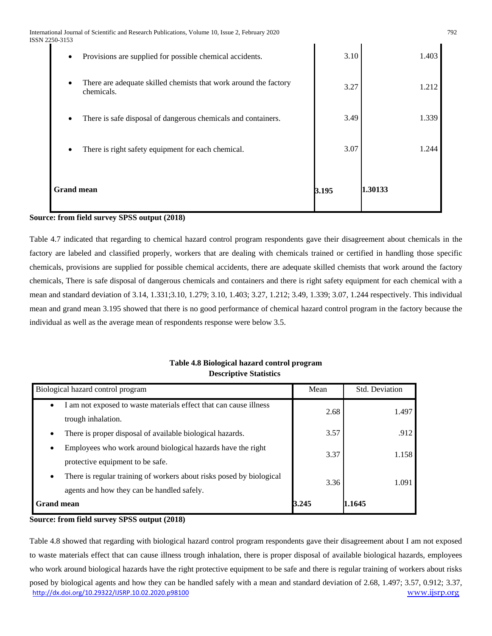International Journal of Scientific and Research Publications, Volume 10, Issue 2, February 2020 792 ISSN 2250-3153

| Provisions are supplied for possible chemical accidents.<br>٠                               | 3.10  | 1.403   |
|---------------------------------------------------------------------------------------------|-------|---------|
| There are adequate skilled chemists that work around the factory<br>$\bullet$<br>chemicals. | 3.27  | 1.212   |
| There is safe disposal of dangerous chemicals and containers.                               | 3.49  | 1.339   |
| There is right safety equipment for each chemical.                                          | 3.07  | 1.244   |
| <b>Grand mean</b>                                                                           | 3.195 | 1.30133 |

#### **Source: from field survey SPSS output (2018)**

Table 4.7 indicated that regarding to chemical hazard control program respondents gave their disagreement about chemicals in the factory are labeled and classified properly, workers that are dealing with chemicals trained or certified in handling those specific chemicals, provisions are supplied for possible chemical accidents, there are adequate skilled chemists that work around the factory chemicals, There is safe disposal of dangerous chemicals and containers and there is right safety equipment for each chemical with a mean and standard deviation of 3.14, 1.331;3.10, 1.279; 3.10, 1.403; 3.27, 1.212; 3.49, 1.339; 3.07, 1.244 respectively. This individual mean and grand mean 3.195 showed that there is no good performance of chemical hazard control program in the factory because the individual as well as the average mean of respondents response were below 3.5.

# **Table 4.8 Biological hazard control program Descriptive Statistics**

| Biological hazard control program                                                 | Mean         | Std. Deviation |
|-----------------------------------------------------------------------------------|--------------|----------------|
| am not exposed to waste materials effect that can cause illness<br>$\bullet$      | 2.68         | 1.497          |
| trough inhalation.                                                                |              |                |
| There is proper disposal of available biological hazards.<br>$\bullet$            | 3.57         | .912           |
| Employees who work around biological hazards have the right<br>$\bullet$          | 3.37         | 1.158          |
| protective equipment to be safe.                                                  |              |                |
| There is regular training of workers about risks posed by biological<br>$\bullet$ | 3.36         | 1.091          |
| agents and how they can be handled safely.                                        |              |                |
| <b>Grand mean</b>                                                                 | <b>B.245</b> | 1.1645         |

#### **Source: from field survey SPSS output (2018)**

<http://dx.doi.org/10.29322/IJSRP.10.02.2020.p98100> [www.ijsrp.org](http://ijsrp.org/) Table 4.8 showed that regarding with biological hazard control program respondents gave their disagreement about I am not exposed to waste materials effect that can cause illness trough inhalation, there is proper disposal of available biological hazards, employees who work around biological hazards have the right protective equipment to be safe and there is regular training of workers about risks posed by biological agents and how they can be handled safely with a mean and standard deviation of 2.68, 1.497; 3.57, 0.912; 3.37,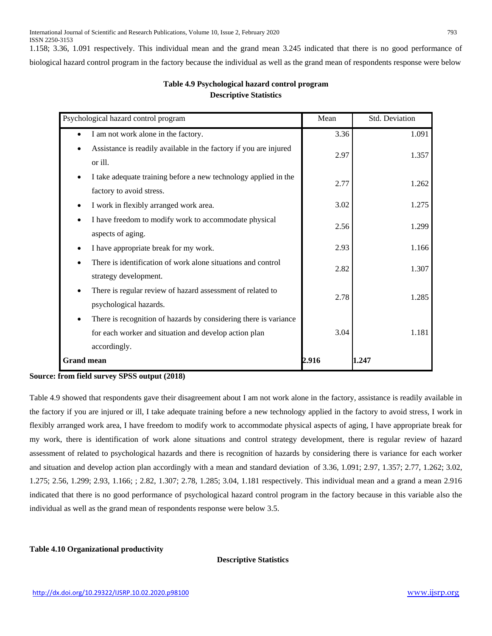1.158; 3.36, 1.091 respectively. This individual mean and the grand mean 3.245 indicated that there is no good performance of biological hazard control program in the factory because the individual as well as the grand mean of respondents response were below

# **Table 4.9 Psychological hazard control program Descriptive Statistics**

| Psychological hazard control program                                                        | Mean  | Std. Deviation |
|---------------------------------------------------------------------------------------------|-------|----------------|
| I am not work alone in the factory.<br>$\bullet$                                            | 3.36  | 1.091          |
| Assistance is readily available in the factory if you are injured<br>or ill.                | 2.97  | 1.357          |
| I take adequate training before a new technology applied in the<br>factory to avoid stress. | 2.77  | 1.262          |
| I work in flexibly arranged work area.                                                      | 3.02  | 1.275          |
| I have freedom to modify work to accommodate physical<br>aspects of aging.                  | 2.56  | 1.299          |
| I have appropriate break for my work.                                                       | 2.93  | 1.166          |
| There is identification of work alone situations and control<br>strategy development.       | 2.82  | 1.307          |
| There is regular review of hazard assessment of related to<br>psychological hazards.        | 2.78  | 1.285          |
| There is recognition of hazards by considering there is variance                            |       |                |
| for each worker and situation and develop action plan                                       | 3.04  | 1.181          |
| accordingly.                                                                                |       |                |
| <b>Grand mean</b>                                                                           | 2.916 | 1.247          |

# **Source: from field survey SPSS output (2018)**

Table 4.9 showed that respondents gave their disagreement about I am not work alone in the factory, assistance is readily available in the factory if you are injured or ill, I take adequate training before a new technology applied in the factory to avoid stress, I work in flexibly arranged work area, I have freedom to modify work to accommodate physical aspects of aging, I have appropriate break for my work, there is identification of work alone situations and control strategy development, there is regular review of hazard assessment of related to psychological hazards and there is recognition of hazards by considering there is variance for each worker and situation and develop action plan accordingly with a mean and standard deviation of 3.36, 1.091; 2.97, 1.357; 2.77, 1.262; 3.02, 1.275; 2.56, 1.299; 2.93, 1.166; ; 2.82, 1.307; 2.78, 1.285; 3.04, 1.181 respectively. This individual mean and a grand a mean 2.916 indicated that there is no good performance of psychological hazard control program in the factory because in this variable also the individual as well as the grand mean of respondents response were below 3.5.

**Table 4.10 Organizational productivity**

 **Descriptive Statistics**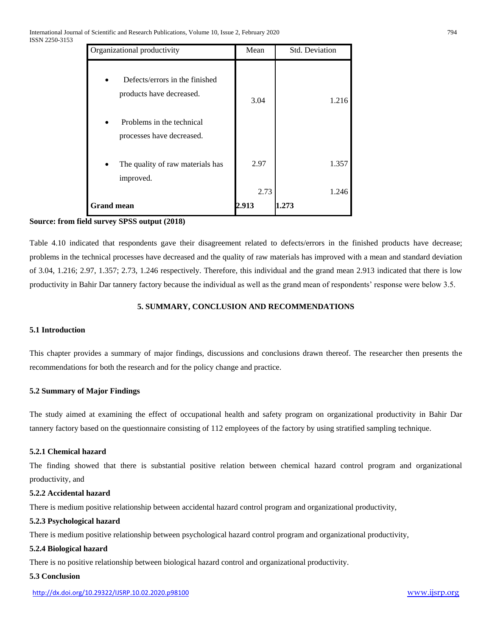| Organizational productivity                                | Mean  | <b>Std. Deviation</b> |
|------------------------------------------------------------|-------|-----------------------|
| Defects/errors in the finished<br>products have decreased. | 3.04  | 1.216                 |
| Problems in the technical                                  |       |                       |
| processes have decreased.                                  |       |                       |
| The quality of raw materials has<br>improved.              | 2.97  | 1.357                 |
|                                                            | 2.73  | 1.246                 |
| <b>Grand mean</b>                                          | 2.913 | 1.273                 |

# **Source: from field survey SPSS output (2018)**

Table 4.10 indicated that respondents gave their disagreement related to defects/errors in the finished products have decrease; problems in the technical processes have decreased and the quality of raw materials has improved with a mean and standard deviation of 3.04, 1.216; 2.97, 1.357; 2.73, 1.246 respectively. Therefore, this individual and the grand mean 2.913 indicated that there is low productivity in Bahir Dar tannery factory because the individual as well as the grand mean of respondents' response were below 3.5.

# **5. SUMMARY, CONCLUSION AND RECOMMENDATIONS**

#### **5.1 Introduction**

This chapter provides a summary of major findings, discussions and conclusions drawn thereof. The researcher then presents the recommendations for both the research and for the policy change and practice.

#### **5.2 Summary of Major Findings**

The study aimed at examining the effect of occupational health and safety program on organizational productivity in Bahir Dar tannery factory based on the questionnaire consisting of 112 employees of the factory by using stratified sampling technique.

#### **5.2.1 Chemical hazard**

The finding showed that there is substantial positive relation between chemical hazard control program and organizational productivity, and

#### **5.2.2 Accidental hazard**

There is medium positive relationship between accidental hazard control program and organizational productivity,

#### **5.2.3 Psychological hazard**

There is medium positive relationship between psychological hazard control program and organizational productivity,

#### **5.2.4 Biological hazard**

There is no positive relationship between biological hazard control and organizational productivity.

# **5.3 Conclusion**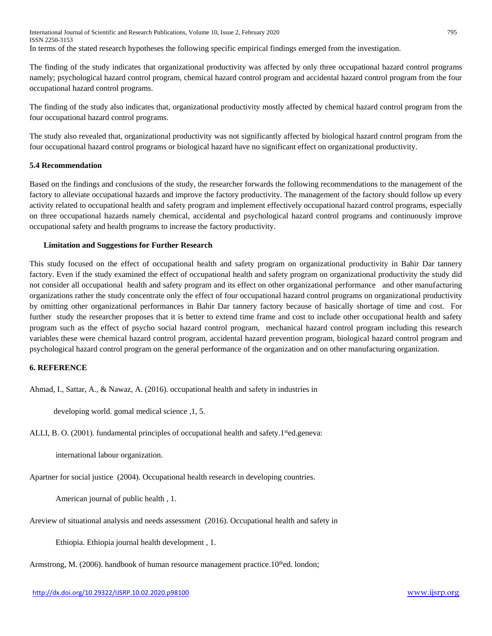International Journal of Scientific and Research Publications, Volume 10, Issue 2, February 2020 795 ISSN 2250-3153 In terms of the stated research hypotheses the following specific empirical findings emerged from the investigation.

The finding of the study indicates that organizational productivity was affected by only three occupational hazard control programs namely; psychological hazard control program, chemical hazard control program and accidental hazard control program from the four occupational hazard control programs.

The finding of the study also indicates that, organizational productivity mostly affected by chemical hazard control program from the four occupational hazard control programs.

The study also revealed that, organizational productivity was not significantly affected by biological hazard control program from the four occupational hazard control programs or biological hazard have no significant effect on organizational productivity.

# **5.4 Recommendation**

Based on the findings and conclusions of the study, the researcher forwards the following recommendations to the management of the factory to alleviate occupational hazards and improve the factory productivity. The management of the factory should follow up every activity related to occupational health and safety program and implement effectively occupational hazard control programs, especially on three occupational hazards namely chemical, accidental and psychological hazard control programs and continuously improve occupational safety and health programs to increase the factory productivity.

# **Limitation and Suggestions for Further Research**

This study focused on the effect of occupational health and safety program on organizational productivity in Bahir Dar tannery factory. Even if the study examined the effect of occupational health and safety program on organizational productivity the study did not consider all occupational health and safety program and its effect on other organizational performance and other manufacturing organizations rather the study concentrate only the effect of four occupational hazard control programs on organizational productivity by omitting other organizational performances in Bahir Dar tannery factory because of basically shortage of time and cost. For further study the researcher proposes that it is better to extend time frame and cost to include other occupational health and safety program such as the effect of psycho social hazard control program, mechanical hazard control program including this research variables these were chemical hazard control program, accidental hazard prevention program, biological hazard control program and psychological hazard control program on the general performance of the organization and on other manufacturing organization.

### **6. REFERENCE**

Ahmad, I., Sattar, A., & Nawaz, A. (2016). occupational health and safety in industries in

developing world. gomal medical science ,1, 5.

ALLI, B. O. (2001). fundamental principles of occupational health and safety.1<sup>st</sup>ed.geneva:

international labour organization.

Apartner for social justice (2004). Occupational health research in developing countries.

American journal of public health , 1.

Areview of situational analysis and needs assessment (2016). Occupational health and safety in

Ethiopia. Ethiopia journal health development , 1.

Armstrong, M. (2006). handbook of human resource management practice.10<sup>th</sup>ed. london;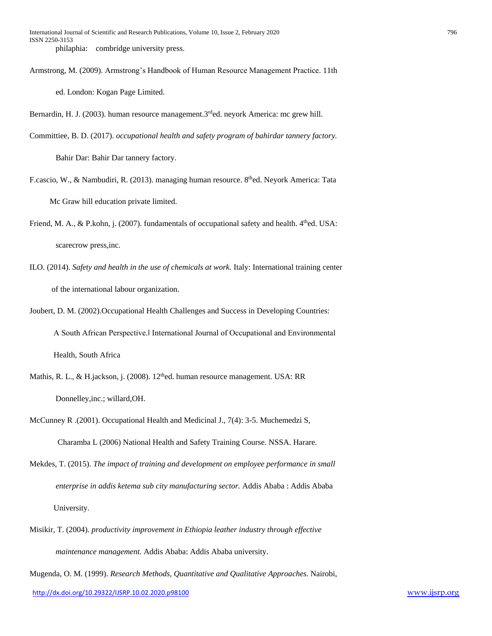Armstrong, M. (2009). Armstrong's Handbook of Human Resource Management Practice. 11th ed. London: Kogan Page Limited.

Bernardin, H. J. (2003). human resource management.  $3^{rd}$ ed. neyork America: mc grew hill.

Committiee, B. D. (2017). *occupational health and safety program of bahirdar tannery factory.*

Bahir Dar: Bahir Dar tannery factory.

- F.cascio, W., & Nambudiri, R. (2013). managing human resource. 8<sup>th</sup>ed. Neyork America: Tata Mc Graw hill education private limited.
- Friend, M. A., & P.kohn, j. (2007). fundamentals of occupational safety and health. 4<sup>th</sup>ed. USA: scarecrow press,inc.
- ILO. (2014). *Safety and health in the use of chemicals at work.* Italy: International training center of the international labour organization.
- Joubert, D. M. (2002).Occupational Health Challenges and Success in Developing Countries: A South African Perspective.‖ International Journal of Occupational and Environmental Health, South Africa
- Mathis, R. L., & H.jackson, j. (2008).  $12<sup>th</sup>$ ed. human resource management. USA: RR Donnelley,inc.; willard,OH.
- McCunney R .(2001). Occupational Health and Medicinal J., 7(4): 3-5. Muchemedzi S, Charamba L (2006) National Health and Safety Training Course. NSSA. Harare.
- Mekdes, T. (2015). *The impact of training and development on employee performance in small enterprise in addis ketema sub city manufacturing sector.* Addis Ababa : Addis Ababa University.
- Misikir, T. (2004). *productivity improvement in Ethiopia leather industry through effective maintenance management.* Addis Ababa: Addis Ababa university.

<http://dx.doi.org/10.29322/IJSRP.10.02.2020.p98100> [www.ijsrp.org](http://ijsrp.org/) Mugenda, O. M. (1999). *Research Methods, Quantitative and Qualitative Approaches.* Nairobi,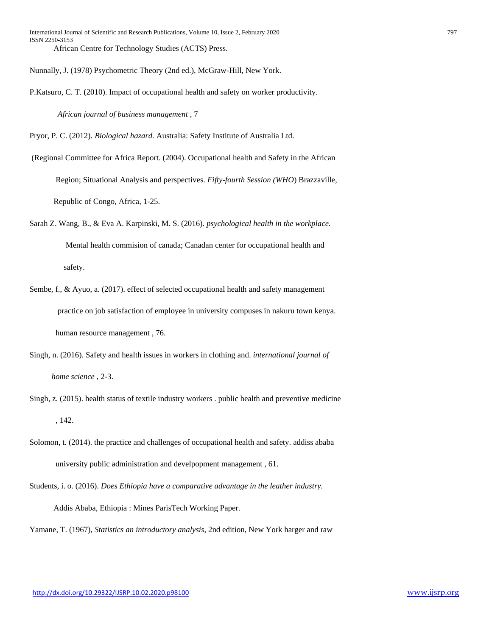Nunnally, J. (1978) Psychometric Theory (2nd ed.), McGraw-Hill, New York.

P.Katsuro, C. T. (2010). Impact of occupational health and safety on worker productivity.

*African journal of business management* , 7

Pryor, P. C. (2012). *Biological hazard.* Australia: Safety Institute of Australia Ltd.

(Regional Committee for Africa Report. (2004). Occupational health and Safety in the African

 Region; Situational Analysis and perspectives. *Fifty-fourth Session (WHO*) Brazzaville, Republic of Congo, Africa, 1-25.

- Sarah Z. Wang, B., & Eva A. Karpinski, M. S. (2016). *psychological health in the workplace.* Mental health commision of canada; Canadan center for occupational health and safety.
- Sembe, f., & Ayuo, a. (2017). effect of selected occupational health and safety management practice on job satisfaction of employee in university compuses in nakuru town kenya. human resource management , 76.
- Singh, n. (2016). Safety and health issues in workers in clothing and. *international journal of home science* , 2-3.
- Singh, z. (2015). health status of textile industry workers . public health and preventive medicine , 142.
- Solomon, t. (2014). the practice and challenges of occupational health and safety. addiss ababa university public administration and develpopment management , 61.

Students, i. o. (2016). *Does Ethiopia have a comparative advantage in the leather industry.* Addis Ababa, Ethiopia : Mines ParisTech Working Paper.

Yamane, T. (1967), *Statistics an introductory analysis*, 2nd edition, New York harger and raw